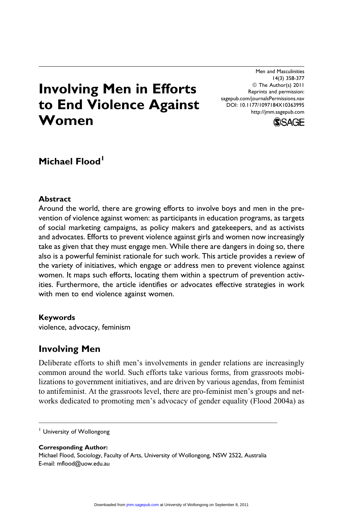Involving Men in Efforts to End Violence Against





Michael Flood<sup>1</sup>

Women

#### Abstract

Around the world, there are growing efforts to involve boys and men in the prevention of violence against women: as participants in education programs, as targets of social marketing campaigns, as policy makers and gatekeepers, and as activists and advocates. Efforts to prevent violence against girls and women now increasingly take as given that they must engage men. While there are dangers in doing so, there also is a powerful feminist rationale for such work. This article provides a review of the variety of initiatives, which engage or address men to prevent violence against women. It maps such efforts, locating them within a spectrum of prevention activities. Furthermore, the article identifies or advocates effective strategies in work with men to end violence against women.

#### Keywords

violence, advocacy, feminism

# Involving Men

Deliberate efforts to shift men's involvements in gender relations are increasingly common around the world. Such efforts take various forms, from grassroots mobilizations to government initiatives, and are driven by various agendas, from feminist to antifeminist. At the grassroots level, there are pro-feminist men's groups and networks dedicated to promoting men's advocacy of gender equality (Flood 2004a) as

#### Corresponding Author:

Michael Flood, Sociology, Faculty of Arts, University of Wollongong, NSW 2522, Australia E-mail: mflood@uow.edu.au

University of Wollongong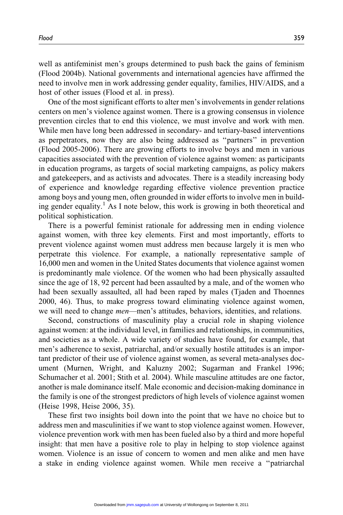well as antifeminist men's groups determined to push back the gains of feminism (Flood 2004b). National governments and international agencies have affirmed the need to involve men in work addressing gender equality, families, HIV/AIDS, and a host of other issues (Flood et al. in press).

One of the most significant efforts to alter men's involvements in gender relations centers on men's violence against women. There is a growing consensus in violence prevention circles that to end this violence, we must involve and work with men. While men have long been addressed in secondary- and tertiary-based interventions as perpetrators, now they are also being addressed as ''partners'' in prevention (Flood 2005-2006). There are growing efforts to involve boys and men in various capacities associated with the prevention of violence against women: as participants in education programs, as targets of social marketing campaigns, as policy makers and gatekeepers, and as activists and advocates. There is a steadily increasing body of experience and knowledge regarding effective violence prevention practice among boys and young men, often grounded in wider efforts to involve men in building gender equality.<sup>1</sup> As I note below, this work is growing in both theoretical and political sophistication.

There is a powerful feminist rationale for addressing men in ending violence against women, with three key elements. First and most importantly, efforts to prevent violence against women must address men because largely it is men who perpetrate this violence. For example, a nationally representative sample of 16,000 men and women in the United States documents that violence against women is predominantly male violence. Of the women who had been physically assaulted since the age of 18, 92 percent had been assaulted by a male, and of the women who had been sexually assaulted, all had been raped by males (Tjaden and Thoennes 2000, 46). Thus, to make progress toward eliminating violence against women, we will need to change *men*—men's attitudes, behaviors, identities, and relations.

Second, constructions of masculinity play a crucial role in shaping violence against women: at the individual level, in families and relationships, in communities, and societies as a whole. A wide variety of studies have found, for example, that men's adherence to sexist, patriarchal, and/or sexually hostile attitudes is an important predictor of their use of violence against women, as several meta-analyses document (Murnen, Wright, and Kaluzny 2002; Sugarman and Frankel 1996; Schumacher et al. 2001; Stith et al. 2004). While masculine attitudes are one factor, another is male dominance itself. Male economic and decision-making dominance in the family is one of the strongest predictors of high levels of violence against women (Heise 1998, Heise 2006, 35).

These first two insights boil down into the point that we have no choice but to address men and masculinities if we want to stop violence against women. However, violence prevention work with men has been fueled also by a third and more hopeful insight: that men have a positive role to play in helping to stop violence against women. Violence is an issue of concern to women and men alike and men have a stake in ending violence against women. While men receive a ''patriarchal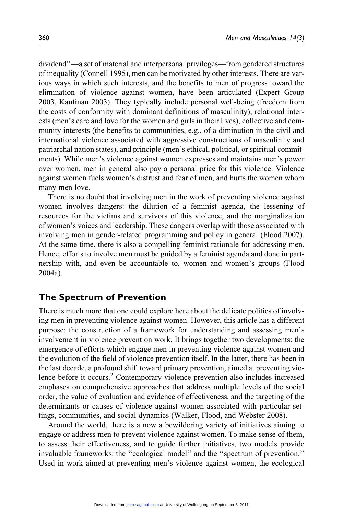dividend''—a set of material and interpersonal privileges—from gendered structures of inequality (Connell 1995), men can be motivated by other interests. There are various ways in which such interests, and the benefits to men of progress toward the elimination of violence against women, have been articulated (Expert Group 2003, Kaufman 2003). They typically include personal well-being (freedom from the costs of conformity with dominant definitions of masculinity), relational interests (men's care and love for the women and girls in their lives), collective and community interests (the benefits to communities, e.g., of a diminution in the civil and international violence associated with aggressive constructions of masculinity and patriarchal nation states), and principle (men's ethical, political, or spiritual commitments). While men's violence against women expresses and maintains men's power over women, men in general also pay a personal price for this violence. Violence against women fuels women's distrust and fear of men, and hurts the women whom many men love.

There is no doubt that involving men in the work of preventing violence against women involves dangers: the dilution of a feminist agenda, the lessening of resources for the victims and survivors of this violence, and the marginalization of women's voices and leadership. These dangers overlap with those associated with involving men in gender-related programming and policy in general (Flood 2007). At the same time, there is also a compelling feminist rationale for addressing men. Hence, efforts to involve men must be guided by a feminist agenda and done in partnership with, and even be accountable to, women and women's groups (Flood 2004a).

#### The Spectrum of Prevention

There is much more that one could explore here about the delicate politics of involving men in preventing violence against women. However, this article has a different purpose: the construction of a framework for understanding and assessing men's involvement in violence prevention work. It brings together two developments: the emergence of efforts which engage men in preventing violence against women and the evolution of the field of violence prevention itself. In the latter, there has been in the last decade, a profound shift toward primary prevention, aimed at preventing violence before it occurs.<sup>2</sup> Contemporary violence prevention also includes increased emphases on comprehensive approaches that address multiple levels of the social order, the value of evaluation and evidence of effectiveness, and the targeting of the determinants or causes of violence against women associated with particular settings, communities, and social dynamics (Walker, Flood, and Webster 2008).

Around the world, there is a now a bewildering variety of initiatives aiming to engage or address men to prevent violence against women. To make sense of them, to assess their effectiveness, and to guide further initiatives, two models provide invaluable frameworks: the ''ecological model'' and the ''spectrum of prevention.'' Used in work aimed at preventing men's violence against women, the ecological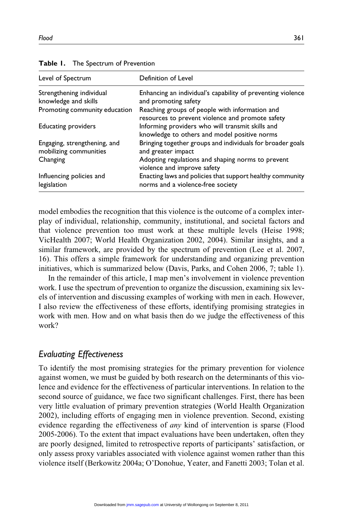| Level of Spectrum                                      | Definition of Level                                                                                |
|--------------------------------------------------------|----------------------------------------------------------------------------------------------------|
| Strengthening individual<br>knowledge and skills       | Enhancing an individual's capability of preventing violence<br>and promoting safety                |
| Promoting community education                          | Reaching groups of people with information and<br>resources to prevent violence and promote safety |
| <b>Educating providers</b>                             | Informing providers who will transmit skills and<br>knowledge to others and model positive norms   |
| Engaging, strengthening, and<br>mobilizing communities | Bringing together groups and individuals for broader goals<br>and greater impact                   |
| Changing                                               | Adopting regulations and shaping norms to prevent<br>violence and improve safety                   |
| Influencing policies and<br>legislation                | Enacting laws and policies that support healthy community<br>norms and a violence-free society     |

| Table I. | The Spectrum of Prevention |  |
|----------|----------------------------|--|
|----------|----------------------------|--|

model embodies the recognition that this violence is the outcome of a complex interplay of individual, relationship, community, institutional, and societal factors and that violence prevention too must work at these multiple levels (Heise 1998; VicHealth 2007; World Health Organization 2002, 2004). Similar insights, and a similar framework, are provided by the spectrum of prevention (Lee et al. 2007, 16). This offers a simple framework for understanding and organizing prevention initiatives, which is summarized below (Davis, Parks, and Cohen 2006, 7; table 1).

In the remainder of this article, I map men's involvement in violence prevention work. I use the spectrum of prevention to organize the discussion, examining six levels of intervention and discussing examples of working with men in each. However, I also review the effectiveness of these efforts, identifying promising strategies in work with men. How and on what basis then do we judge the effectiveness of this work?

# Evaluating Effectiveness

To identify the most promising strategies for the primary prevention for violence against women, we must be guided by both research on the determinants of this violence and evidence for the effectiveness of particular interventions. In relation to the second source of guidance, we face two significant challenges. First, there has been very little evaluation of primary prevention strategies (World Health Organization 2002), including efforts of engaging men in violence prevention. Second, existing evidence regarding the effectiveness of *any* kind of intervention is sparse (Flood 2005-2006). To the extent that impact evaluations have been undertaken, often they are poorly designed, limited to retrospective reports of participants' satisfaction, or only assess proxy variables associated with violence against women rather than this violence itself (Berkowitz 2004a; O'Donohue, Yeater, and Fanetti 2003; Tolan et al.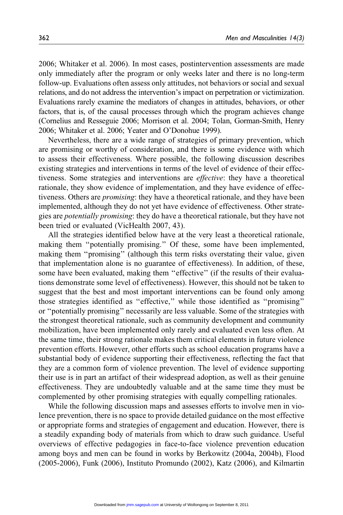2006; Whitaker et al. 2006). In most cases, postintervention assessments are made only immediately after the program or only weeks later and there is no long-term follow-up. Evaluations often assess only attitudes, not behaviors or social and sexual relations, and do not address the intervention's impact on perpetration or victimization. Evaluations rarely examine the mediators of changes in attitudes, behaviors, or other factors, that is, of the causal processes through which the program achieves change (Cornelius and Resseguie 2006; Morrison et al. 2004; Tolan, Gorman-Smith, Henry 2006; Whitaker et al. 2006; Yeater and O'Donohue 1999).

Nevertheless, there are a wide range of strategies of primary prevention, which are promising or worthy of consideration, and there is some evidence with which to assess their effectiveness. Where possible, the following discussion describes existing strategies and interventions in terms of the level of evidence of their effectiveness. Some strategies and interventions are effective: they have a theoretical rationale, they show evidence of implementation, and they have evidence of effectiveness. Others are *promising*: they have a theoretical rationale, and they have been implemented, although they do not yet have evidence of effectiveness. Other strategies are potentially promising: they do have a theoretical rationale, but they have not been tried or evaluated (VicHealth 2007, 43).

All the strategies identified below have at the very least a theoretical rationale, making them ''potentially promising.'' Of these, some have been implemented, making them "promising" (although this term risks overstating their value, given that implementation alone is no guarantee of effectiveness). In addition, of these, some have been evaluated, making them "effective" (if the results of their evaluations demonstrate some level of effectiveness). However, this should not be taken to suggest that the best and most important interventions can be found only among those strategies identified as ''effective,'' while those identified as ''promising'' or ''potentially promising'' necessarily are less valuable. Some of the strategies with the strongest theoretical rationale, such as community development and community mobilization, have been implemented only rarely and evaluated even less often. At the same time, their strong rationale makes them critical elements in future violence prevention efforts. However, other efforts such as school education programs have a substantial body of evidence supporting their effectiveness, reflecting the fact that they are a common form of violence prevention. The level of evidence supporting their use is in part an artifact of their widespread adoption, as well as their genuine effectiveness. They are undoubtedly valuable and at the same time they must be complemented by other promising strategies with equally compelling rationales.

While the following discussion maps and assesses efforts to involve men in violence prevention, there is no space to provide detailed guidance on the most effective or appropriate forms and strategies of engagement and education. However, there is a steadily expanding body of materials from which to draw such guidance. Useful overviews of effective pedagogies in face-to-face violence prevention education among boys and men can be found in works by Berkowitz (2004a, 2004b), Flood (2005-2006), Funk (2006), Instituto Promundo (2002), Katz (2006), and Kilmartin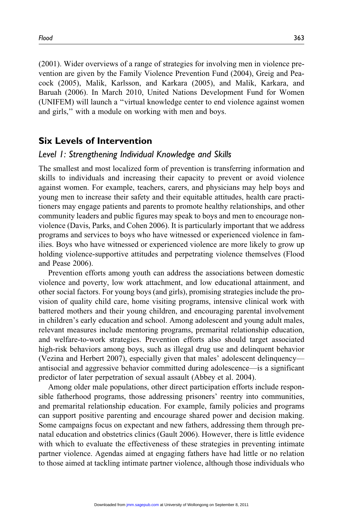(2001). Wider overviews of a range of strategies for involving men in violence prevention are given by the Family Violence Prevention Fund (2004), Greig and Peacock (2005), Malik, Karlsson, and Karkara (2005), and Malik, Karkara, and Baruah (2006). In March 2010, United Nations Development Fund for Women (UNIFEM) will launch a ''virtual knowledge center to end violence against women and girls,'' with a module on working with men and boys.

# Six Levels of Intervention

#### Level 1: Strengthening Individual Knowledge and Skills

The smallest and most localized form of prevention is transferring information and skills to individuals and increasing their capacity to prevent or avoid violence against women. For example, teachers, carers, and physicians may help boys and young men to increase their safety and their equitable attitudes, health care practitioners may engage patients and parents to promote healthy relationships, and other community leaders and public figures may speak to boys and men to encourage nonviolence (Davis, Parks, and Cohen 2006). It is particularly important that we address programs and services to boys who have witnessed or experienced violence in families. Boys who have witnessed or experienced violence are more likely to grow up holding violence-supportive attitudes and perpetrating violence themselves (Flood and Pease 2006).

Prevention efforts among youth can address the associations between domestic violence and poverty, low work attachment, and low educational attainment, and other social factors. For young boys (and girls), promising strategies include the provision of quality child care, home visiting programs, intensive clinical work with battered mothers and their young children, and encouraging parental involvement in children's early education and school. Among adolescent and young adult males, relevant measures include mentoring programs, premarital relationship education, and welfare-to-work strategies. Prevention efforts also should target associated high-risk behaviors among boys, such as illegal drug use and delinquent behavior (Vezina and Herbert 2007), especially given that males' adolescent delinquency antisocial and aggressive behavior committed during adolescence—is a significant predictor of later perpetration of sexual assault (Abbey et al. 2004).

Among older male populations, other direct participation efforts include responsible fatherhood programs, those addressing prisoners' reentry into communities, and premarital relationship education. For example, family policies and programs can support positive parenting and encourage shared power and decision making. Some campaigns focus on expectant and new fathers, addressing them through prenatal education and obstetrics clinics (Gault 2006). However, there is little evidence with which to evaluate the effectiveness of these strategies in preventing intimate partner violence. Agendas aimed at engaging fathers have had little or no relation to those aimed at tackling intimate partner violence, although those individuals who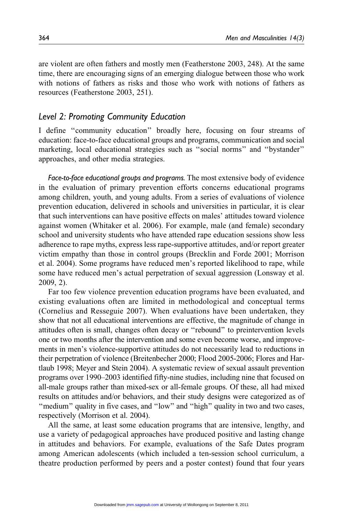are violent are often fathers and mostly men (Featherstone 2003, 248). At the same time, there are encouraging signs of an emerging dialogue between those who work with notions of fathers as risks and those who work with notions of fathers as resources (Featherstone 2003, 251).

#### Level 2: Promoting Community Education

I define ''community education'' broadly here, focusing on four streams of education: face-to-face educational groups and programs, communication and social marketing, local educational strategies such as ''social norms'' and ''bystander'' approaches, and other media strategies.

Face-to-face educational groups and programs. The most extensive body of evidence in the evaluation of primary prevention efforts concerns educational programs among children, youth, and young adults. From a series of evaluations of violence prevention education, delivered in schools and universities in particular, it is clear that such interventions can have positive effects on males' attitudes toward violence against women (Whitaker et al. 2006). For example, male (and female) secondary school and university students who have attended rape education sessions show less adherence to rape myths, express less rape-supportive attitudes, and/or report greater victim empathy than those in control groups (Brecklin and Forde 2001; Morrison et al. 2004). Some programs have reduced men's reported likelihood to rape, while some have reduced men's actual perpetration of sexual aggression (Lonsway et al. 2009, 2).

Far too few violence prevention education programs have been evaluated, and existing evaluations often are limited in methodological and conceptual terms (Cornelius and Resseguie 2007). When evaluations have been undertaken, they show that not all educational interventions are effective, the magnitude of change in attitudes often is small, changes often decay or ''rebound'' to preintervention levels one or two months after the intervention and some even become worse, and improvements in men's violence-supportive attitudes do not necessarily lead to reductions in their perpetration of violence (Breitenbecher 2000; Flood 2005-2006; Flores and Hartlaub 1998; Meyer and Stein 2004). A systematic review of sexual assault prevention programs over 1990–2003 identified fifty-nine studies, including nine that focused on all-male groups rather than mixed-sex or all-female groups. Of these, all had mixed results on attitudes and/or behaviors, and their study designs were categorized as of ''medium'' quality in five cases, and ''low'' and ''high'' quality in two and two cases, respectively (Morrison et al. 2004).

All the same, at least some education programs that are intensive, lengthy, and use a variety of pedagogical approaches have produced positive and lasting change in attitudes and behaviors. For example, evaluations of the Safe Dates program among American adolescents (which included a ten-session school curriculum, a theatre production performed by peers and a poster contest) found that four years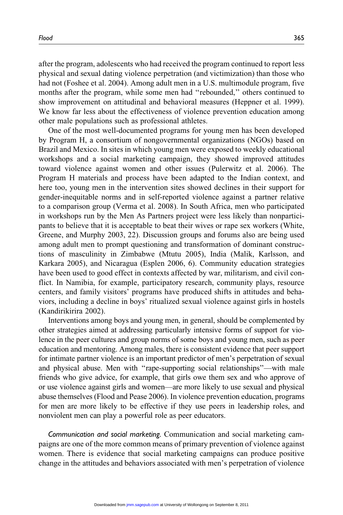after the program, adolescents who had received the program continued to report less physical and sexual dating violence perpetration (and victimization) than those who had not (Foshee et al. 2004). Among adult men in a U.S. multimodule program, five months after the program, while some men had ''rebounded,'' others continued to show improvement on attitudinal and behavioral measures (Heppner et al. 1999). We know far less about the effectiveness of violence prevention education among other male populations such as professional athletes.

One of the most well-documented programs for young men has been developed by Program H, a consortium of nongovernmental organizations (NGOs) based on Brazil and Mexico. In sites in which young men were exposed to weekly educational workshops and a social marketing campaign, they showed improved attitudes toward violence against women and other issues (Pulerwitz et al. 2006). The Program H materials and process have been adapted to the Indian context, and here too, young men in the intervention sites showed declines in their support for gender-inequitable norms and in self-reported violence against a partner relative to a comparison group (Verma et al. 2008). In South Africa, men who participated in workshops run by the Men As Partners project were less likely than nonparticipants to believe that it is acceptable to beat their wives or rape sex workers (White, Greene, and Murphy 2003, 22). Discussion groups and forums also are being used among adult men to prompt questioning and transformation of dominant constructions of masculinity in Zimbabwe (Mtutu 2005), India (Malik, Karlsson, and Karkara 2005), and Nicaragua (Esplen 2006, 6). Community education strategies have been used to good effect in contexts affected by war, militarism, and civil conflict. In Namibia, for example, participatory research, community plays, resource centers, and family visitors' programs have produced shifts in attitudes and behaviors, including a decline in boys' ritualized sexual violence against girls in hostels (Kandirikirira 2002).

Interventions among boys and young men, in general, should be complemented by other strategies aimed at addressing particularly intensive forms of support for violence in the peer cultures and group norms of some boys and young men, such as peer education and mentoring. Among males, there is consistent evidence that peer support for intimate partner violence is an important predictor of men's perpetration of sexual and physical abuse. Men with ''rape-supporting social relationships''—with male friends who give advice, for example, that girls owe them sex and who approve of or use violence against girls and women—are more likely to use sexual and physical abuse themselves (Flood and Pease 2006). In violence prevention education, programs for men are more likely to be effective if they use peers in leadership roles, and nonviolent men can play a powerful role as peer educators.

Communication and social marketing. Communication and social marketing campaigns are one of the more common means of primary prevention of violence against women. There is evidence that social marketing campaigns can produce positive change in the attitudes and behaviors associated with men's perpetration of violence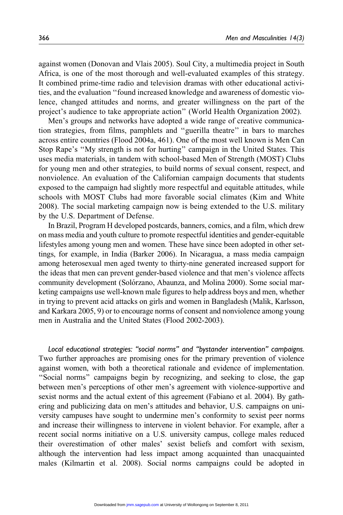against women (Donovan and Vlais 2005). Soul City, a multimedia project in South Africa, is one of the most thorough and well-evaluated examples of this strategy. It combined prime-time radio and television dramas with other educational activities, and the evaluation ''found increased knowledge and awareness of domestic violence, changed attitudes and norms, and greater willingness on the part of the project's audience to take appropriate action'' (World Health Organization 2002).

Men's groups and networks have adopted a wide range of creative communication strategies, from films, pamphlets and ''guerilla theatre'' in bars to marches across entire countries (Flood 2004a, 461). One of the most well known is Men Can Stop Rape's ''My strength is not for hurting'' campaign in the United States. This uses media materials, in tandem with school-based Men of Strength (MOST) Clubs for young men and other strategies, to build norms of sexual consent, respect, and nonviolence. An evaluation of the Californian campaign documents that students exposed to the campaign had slightly more respectful and equitable attitudes, while schools with MOST Clubs had more favorable social climates (Kim and White 2008). The social marketing campaign now is being extended to the U.S. military by the U.S. Department of Defense.

In Brazil, Program H developed postcards, banners, comics, and a film, which drew on mass media and youth culture to promote respectful identities and gender-equitable lifestyles among young men and women. These have since been adopted in other settings, for example, in India (Barker 2006). In Nicaragua, a mass media campaign among heterosexual men aged twenty to thirty-nine generated increased support for the ideas that men can prevent gender-based violence and that men's violence affects community development (Solórzano, Abaunza, and Molina 2000). Some social marketing campaigns use well-known male figures to help address boys and men, whether in trying to prevent acid attacks on girls and women in Bangladesh (Malik, Karlsson, and Karkara 2005, 9) or to encourage norms of consent and nonviolence among young men in Australia and the United States (Flood 2002-2003).

Local educational strategies: ''social norms'' and ''bystander intervention'' campaigns. Two further approaches are promising ones for the primary prevention of violence against women, with both a theoretical rationale and evidence of implementation. ''Social norms'' campaigns begin by recognizing, and seeking to close, the gap between men's perceptions of other men's agreement with violence-supportive and sexist norms and the actual extent of this agreement (Fabiano et al. 2004). By gathering and publicizing data on men's attitudes and behavior, U.S. campaigns on university campuses have sought to undermine men's conformity to sexist peer norms and increase their willingness to intervene in violent behavior. For example, after a recent social norms initiative on a U.S. university campus, college males reduced their overestimation of other males' sexist beliefs and comfort with sexism, although the intervention had less impact among acquainted than unacquainted males (Kilmartin et al. 2008). Social norms campaigns could be adopted in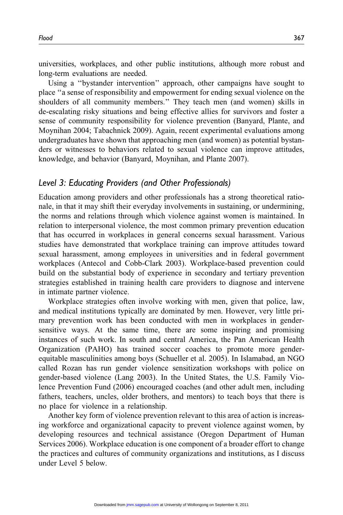universities, workplaces, and other public institutions, although more robust and long-term evaluations are needed.

Using a ''bystander intervention'' approach, other campaigns have sought to place ''a sense of responsibility and empowerment for ending sexual violence on the shoulders of all community members.'' They teach men (and women) skills in de-escalating risky situations and being effective allies for survivors and foster a sense of community responsibility for violence prevention (Banyard, Plante, and Moynihan 2004; Tabachnick 2009). Again, recent experimental evaluations among undergraduates have shown that approaching men (and women) as potential bystanders or witnesses to behaviors related to sexual violence can improve attitudes, knowledge, and behavior (Banyard, Moynihan, and Plante 2007).

# Level 3: Educating Providers (and Other Professionals)

Education among providers and other professionals has a strong theoretical rationale, in that it may shift their everyday involvements in sustaining, or undermining, the norms and relations through which violence against women is maintained. In relation to interpersonal violence, the most common primary prevention education that has occurred in workplaces in general concerns sexual harassment. Various studies have demonstrated that workplace training can improve attitudes toward sexual harassment, among employees in universities and in federal government workplaces (Antecol and Cobb-Clark 2003). Workplace-based prevention could build on the substantial body of experience in secondary and tertiary prevention strategies established in training health care providers to diagnose and intervene in intimate partner violence.

Workplace strategies often involve working with men, given that police, law, and medical institutions typically are dominated by men. However, very little primary prevention work has been conducted with men in workplaces in gendersensitive ways. At the same time, there are some inspiring and promising instances of such work. In south and central America, the Pan American Health Organization (PAHO) has trained soccer coaches to promote more genderequitable masculinities among boys (Schueller et al. 2005). In Islamabad, an NGO called Rozan has run gender violence sensitization workshops with police on gender-based violence (Lang 2003). In the United States, the U.S. Family Violence Prevention Fund (2006) encouraged coaches (and other adult men, including fathers, teachers, uncles, older brothers, and mentors) to teach boys that there is no place for violence in a relationship.

Another key form of violence prevention relevant to this area of action is increasing workforce and organizational capacity to prevent violence against women, by developing resources and technical assistance (Oregon Department of Human Services 2006). Workplace education is one component of a broader effort to change the practices and cultures of community organizations and institutions, as I discuss under Level 5 below.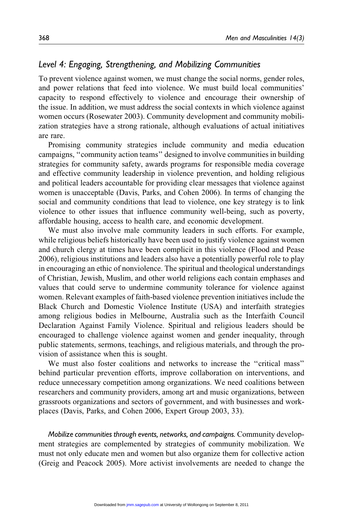# Level 4: Engaging, Strengthening, and Mobilizing Communities

To prevent violence against women, we must change the social norms, gender roles, and power relations that feed into violence. We must build local communities' capacity to respond effectively to violence and encourage their ownership of the issue. In addition, we must address the social contexts in which violence against women occurs (Rosewater 2003). Community development and community mobilization strategies have a strong rationale, although evaluations of actual initiatives are rare.

Promising community strategies include community and media education campaigns, ''community action teams'' designed to involve communities in building strategies for community safety, awards programs for responsible media coverage and effective community leadership in violence prevention, and holding religious and political leaders accountable for providing clear messages that violence against women is unacceptable (Davis, Parks, and Cohen 2006). In terms of changing the social and community conditions that lead to violence, one key strategy is to link violence to other issues that influence community well-being, such as poverty, affordable housing, access to health care, and economic development.

We must also involve male community leaders in such efforts. For example, while religious beliefs historically have been used to justify violence against women and church clergy at times have been complicit in this violence (Flood and Pease 2006), religious institutions and leaders also have a potentially powerful role to play in encouraging an ethic of nonviolence. The spiritual and theological understandings of Christian, Jewish, Muslim, and other world religions each contain emphases and values that could serve to undermine community tolerance for violence against women. Relevant examples of faith-based violence prevention initiatives include the Black Church and Domestic Violence Institute (USA) and interfaith strategies among religious bodies in Melbourne, Australia such as the Interfaith Council Declaration Against Family Violence. Spiritual and religious leaders should be encouraged to challenge violence against women and gender inequality, through public statements, sermons, teachings, and religious materials, and through the provision of assistance when this is sought.

We must also foster coalitions and networks to increase the ''critical mass'' behind particular prevention efforts, improve collaboration on interventions, and reduce unnecessary competition among organizations. We need coalitions between researchers and community providers, among art and music organizations, between grassroots organizations and sectors of government, and with businesses and workplaces (Davis, Parks, and Cohen 2006, Expert Group 2003, 33).

Mobilize communities through events, networks, and campaigns. Community development strategies are complemented by strategies of community mobilization. We must not only educate men and women but also organize them for collective action (Greig and Peacock 2005). More activist involvements are needed to change the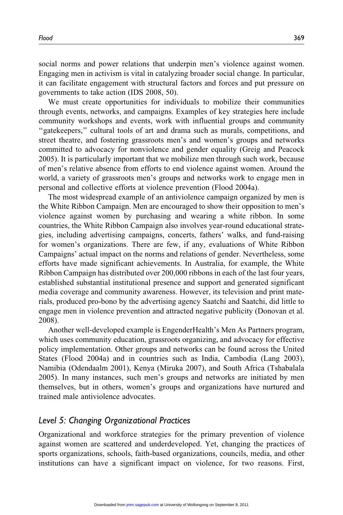social norms and power relations that underpin men's violence against women. Engaging men in activism is vital in catalyzing broader social change. In particular, it can facilitate engagement with structural factors and forces and put pressure on governments to take action (IDS 2008, 50).

We must create opportunities for individuals to mobilize their communities through events, networks, and campaigns. Examples of key strategies here include community workshops and events, work with influential groups and community ''gatekeepers,'' cultural tools of art and drama such as murals, competitions, and street theatre, and fostering grassroots men's and women's groups and networks committed to advocacy for nonviolence and gender equality (Greig and Peacock 2005). It is particularly important that we mobilize men through such work, because of men's relative absence from efforts to end violence against women. Around the world, a variety of grassroots men's groups and networks work to engage men in personal and collective efforts at violence prevention (Flood 2004a).

The most widespread example of an antiviolence campaign organized by men is the White Ribbon Campaign. Men are encouraged to show their opposition to men's violence against women by purchasing and wearing a white ribbon. In some countries, the White Ribbon Campaign also involves year-round educational strategies, including advertising campaigns, concerts, fathers' walks, and fund-raising for women's organizations. There are few, if any, evaluations of White Ribbon Campaigns' actual impact on the norms and relations of gender. Nevertheless, some efforts have made significant achievements. In Australia, for example, the White Ribbon Campaign has distributed over 200,000 ribbons in each of the last four years, established substantial institutional presence and support and generated significant media coverage and community awareness. However, its television and print materials, produced pro-bono by the advertising agency Saatchi and Saatchi, did little to engage men in violence prevention and attracted negative publicity (Donovan et al. 2008).

Another well-developed example is EngenderHealth's Men As Partners program, which uses community education, grassroots organizing, and advocacy for effective policy implementation. Other groups and networks can be found across the United States (Flood 2004a) and in countries such as India, Cambodia (Lang 2003), Namibia (Odendaalm 2001), Kenya (Miruka 2007), and South Africa (Tshabalala 2005). In many instances, such men's groups and networks are initiated by men themselves, but in others, women's groups and organizations have nurtured and trained male antiviolence advocates.

#### Level 5: Changing Organizational Practices

Organizational and workforce strategies for the primary prevention of violence against women are scattered and underdeveloped. Yet, changing the practices of sports organizations, schools, faith-based organizations, councils, media, and other institutions can have a significant impact on violence, for two reasons. First,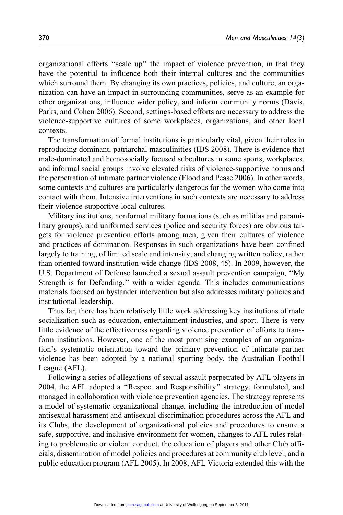organizational efforts ''scale up'' the impact of violence prevention, in that they have the potential to influence both their internal cultures and the communities which surround them. By changing its own practices, policies, and culture, an organization can have an impact in surrounding communities, serve as an example for other organizations, influence wider policy, and inform community norms (Davis, Parks, and Cohen 2006). Second, settings-based efforts are necessary to address the violence-supportive cultures of some workplaces, organizations, and other local contexts.

The transformation of formal institutions is particularly vital, given their roles in reproducing dominant, patriarchal masculinities (IDS 2008). There is evidence that male-dominated and homosocially focused subcultures in some sports, workplaces, and informal social groups involve elevated risks of violence-supportive norms and the perpetration of intimate partner violence (Flood and Pease 2006). In other words, some contexts and cultures are particularly dangerous for the women who come into contact with them. Intensive interventions in such contexts are necessary to address their violence-supportive local cultures.

Military institutions, nonformal military formations (such as militias and paramilitary groups), and uniformed services (police and security forces) are obvious targets for violence prevention efforts among men, given their cultures of violence and practices of domination. Responses in such organizations have been confined largely to training, of limited scale and intensity, and changing written policy, rather than oriented toward institution-wide change (IDS 2008, 45). In 2009, however, the U.S. Department of Defense launched a sexual assault prevention campaign, ''My Strength is for Defending,'' with a wider agenda. This includes communications materials focused on bystander intervention but also addresses military policies and institutional leadership.

Thus far, there has been relatively little work addressing key institutions of male socialization such as education, entertainment industries, and sport. There is very little evidence of the effectiveness regarding violence prevention of efforts to transform institutions. However, one of the most promising examples of an organization's systematic orientation toward the primary prevention of intimate partner violence has been adopted by a national sporting body, the Australian Football League (AFL).

Following a series of allegations of sexual assault perpetrated by AFL players in 2004, the AFL adopted a ''Respect and Responsibility'' strategy, formulated, and managed in collaboration with violence prevention agencies. The strategy represents a model of systematic organizational change, including the introduction of model antisexual harassment and antisexual discrimination procedures across the AFL and its Clubs, the development of organizational policies and procedures to ensure a safe, supportive, and inclusive environment for women, changes to AFL rules relating to problematic or violent conduct, the education of players and other Club officials, dissemination of model policies and procedures at community club level, and a public education program (AFL 2005). In 2008, AFL Victoria extended this with the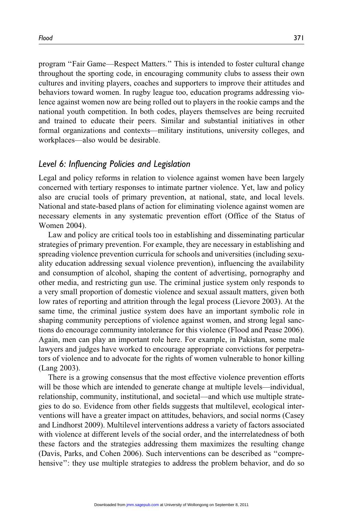program ''Fair Game—Respect Matters.'' This is intended to foster cultural change throughout the sporting code, in encouraging community clubs to assess their own cultures and inviting players, coaches and supporters to improve their attitudes and behaviors toward women. In rugby league too, education programs addressing violence against women now are being rolled out to players in the rookie camps and the national youth competition. In both codes, players themselves are being recruited and trained to educate their peers. Similar and substantial initiatives in other formal organizations and contexts—military institutions, university colleges, and workplaces—also would be desirable.

#### Level 6: Influencing Policies and Legislation

Legal and policy reforms in relation to violence against women have been largely concerned with tertiary responses to intimate partner violence. Yet, law and policy also are crucial tools of primary prevention, at national, state, and local levels. National and state-based plans of action for eliminating violence against women are necessary elements in any systematic prevention effort (Office of the Status of Women 2004).

Law and policy are critical tools too in establishing and disseminating particular strategies of primary prevention. For example, they are necessary in establishing and spreading violence prevention curricula for schools and universities (including sexuality education addressing sexual violence prevention), influencing the availability and consumption of alcohol, shaping the content of advertising, pornography and other media, and restricting gun use. The criminal justice system only responds to a very small proportion of domestic violence and sexual assault matters, given both low rates of reporting and attrition through the legal process (Lievore 2003). At the same time, the criminal justice system does have an important symbolic role in shaping community perceptions of violence against women, and strong legal sanctions do encourage community intolerance for this violence (Flood and Pease 2006). Again, men can play an important role here. For example, in Pakistan, some male lawyers and judges have worked to encourage appropriate convictions for perpetrators of violence and to advocate for the rights of women vulnerable to honor killing (Lang 2003).

There is a growing consensus that the most effective violence prevention efforts will be those which are intended to generate change at multiple levels—individual, relationship, community, institutional, and societal—and which use multiple strategies to do so. Evidence from other fields suggests that multilevel, ecological interventions will have a greater impact on attitudes, behaviors, and social norms (Casey and Lindhorst 2009). Multilevel interventions address a variety of factors associated with violence at different levels of the social order, and the interrelatedness of both these factors and the strategies addressing them maximizes the resulting change (Davis, Parks, and Cohen 2006). Such interventions can be described as ''comprehensive": they use multiple strategies to address the problem behavior, and do so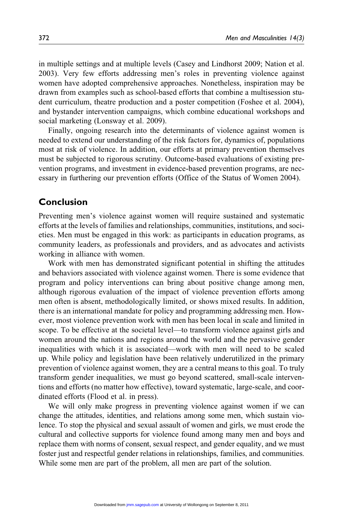in multiple settings and at multiple levels (Casey and Lindhorst 2009; Nation et al. 2003). Very few efforts addressing men's roles in preventing violence against women have adopted comprehensive approaches. Nonetheless, inspiration may be drawn from examples such as school-based efforts that combine a multisession student curriculum, theatre production and a poster competition (Foshee et al. 2004), and bystander intervention campaigns, which combine educational workshops and social marketing (Lonsway et al. 2009).

Finally, ongoing research into the determinants of violence against women is needed to extend our understanding of the risk factors for, dynamics of, populations most at risk of violence. In addition, our efforts at primary prevention themselves must be subjected to rigorous scrutiny. Outcome-based evaluations of existing prevention programs, and investment in evidence-based prevention programs, are necessary in furthering our prevention efforts (Office of the Status of Women 2004).

# Conclusion

Preventing men's violence against women will require sustained and systematic efforts at the levels of families and relationships, communities, institutions, and societies. Men must be engaged in this work: as participants in education programs, as community leaders, as professionals and providers, and as advocates and activists working in alliance with women.

Work with men has demonstrated significant potential in shifting the attitudes and behaviors associated with violence against women. There is some evidence that program and policy interventions can bring about positive change among men, although rigorous evaluation of the impact of violence prevention efforts among men often is absent, methodologically limited, or shows mixed results. In addition, there is an international mandate for policy and programming addressing men. However, most violence prevention work with men has been local in scale and limited in scope. To be effective at the societal level—to transform violence against girls and women around the nations and regions around the world and the pervasive gender inequalities with which it is associated—work with men will need to be scaled up. While policy and legislation have been relatively underutilized in the primary prevention of violence against women, they are a central means to this goal. To truly transform gender inequalities, we must go beyond scattered, small-scale interventions and efforts (no matter how effective), toward systematic, large-scale, and coordinated efforts (Flood et al. in press).

We will only make progress in preventing violence against women if we can change the attitudes, identities, and relations among some men, which sustain violence. To stop the physical and sexual assault of women and girls, we must erode the cultural and collective supports for violence found among many men and boys and replace them with norms of consent, sexual respect, and gender equality, and we must foster just and respectful gender relations in relationships, families, and communities. While some men are part of the problem, all men are part of the solution.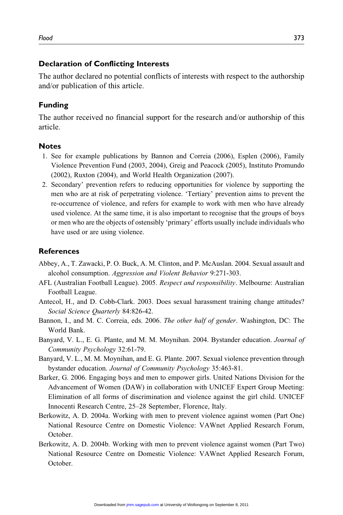# Declaration of Conflicting Interests

The author declared no potential conflicts of interests with respect to the authorship and/or publication of this article.

# Funding

The author received no financial support for the research and/or authorship of this article.

#### Notes

- 1. See for example publications by Bannon and Correia (2006), Esplen (2006), Family Violence Prevention Fund (2003, 2004), Greig and Peacock (2005), Instituto Promundo (2002), Ruxton (2004), and World Health Organization (2007).
- 2. Secondary' prevention refers to reducing opportunities for violence by supporting the men who are at risk of perpetrating violence. 'Tertiary' prevention aims to prevent the re-occurrence of violence, and refers for example to work with men who have already used violence. At the same time, it is also important to recognise that the groups of boys or men who are the objects of ostensibly 'primary' efforts usually include individuals who have used or are using violence.

#### **References**

- Abbey, A., T. Zawacki, P. O. Buck, A. M. Clinton, and P. McAuslan. 2004. Sexual assault and alcohol consumption. Aggression and Violent Behavior 9:271-303.
- AFL (Australian Football League). 2005. Respect and responsibility. Melbourne: Australian Football League.
- Antecol, H., and D. Cobb-Clark. 2003. Does sexual harassment training change attitudes? Social Science Quarterly 84:826-42.
- Bannon, I., and M. C. Correia, eds. 2006. The other half of gender. Washington, DC: The World Bank.
- Banyard, V. L., E. G. Plante, and M. M. Moynihan. 2004. Bystander education. Journal of Community Psychology 32:61-79.
- Banyard, V. L., M. M. Moynihan, and E. G. Plante. 2007. Sexual violence prevention through bystander education. Journal of Community Psychology 35:463-81.
- Barker, G. 2006. Engaging boys and men to empower girls. United Nations Division for the Advancement of Women (DAW) in collaboration with UNICEF Expert Group Meeting: Elimination of all forms of discrimination and violence against the girl child. UNICEF Innocenti Research Centre, 25–28 September, Florence, Italy.
- Berkowitz, A. D. 2004a. Working with men to prevent violence against women (Part One) National Resource Centre on Domestic Violence: VAWnet Applied Research Forum, October.
- Berkowitz, A. D. 2004b. Working with men to prevent violence against women (Part Two) National Resource Centre on Domestic Violence: VAWnet Applied Research Forum, October.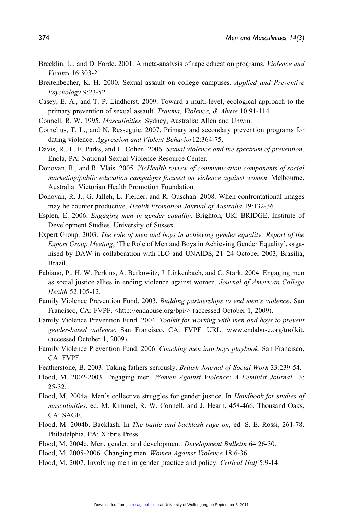- Brecklin, L., and D. Forde. 2001. A meta-analysis of rape education programs. Violence and Victims 16:303-21.
- Breitenbecher, K. H. 2000. Sexual assault on college campuses. Applied and Preventive Psychology 9:23-52.
- Casey, E. A., and T. P. Lindhorst. 2009. Toward a multi-level, ecological approach to the primary prevention of sexual assault. Trauma, Violence, & Abuse 10:91-114.
- Connell, R. W. 1995. Masculinities. Sydney, Australia: Allen and Unwin.
- Cornelius, T. L., and N. Resseguie. 2007. Primary and secondary prevention programs for dating violence. Aggression and Violent Behavior12:364-75.
- Davis, R., L. F. Parks, and L. Cohen. 2006. Sexual violence and the spectrum of prevention. Enola, PA: National Sexual Violence Resource Center.
- Donovan, R., and R. Vlais. 2005. VicHealth review of communication components of social marketing/public education campaigns focused on violence against women. Melbourne, Australia: Victorian Health Promotion Foundation.
- Donovan, R. J., G. Jalleh, L. Fielder, and R. Ouschan. 2008. When confrontational images may be counter productive. Health Promotion Journal of Australia 19:132-36.
- Esplen, E. 2006. Engaging men in gender equality. Brighton, UK: BRIDGE, Institute of Development Studies, University of Sussex.
- Expert Group. 2003. The role of men and boys in achieving gender equality: Report of the Export Group Meeting, 'The Role of Men and Boys in Achieving Gender Equality', organised by DAW in collaboration with ILO and UNAIDS, 21–24 October 2003, Brasilia, Brazil.
- Fabiano, P., H. W. Perkins, A. Berkowitz, J. Linkenbach, and C. Stark. 2004. Engaging men as social justice allies in ending violence against women. Journal of American College Health 52:105-12.
- Family Violence Prevention Fund. 2003. Building partnerships to end men's violence. San Francisco, CA: FVPF. <http://endabuse.org/bpi/> (accessed October 1, 2009).
- Family Violence Prevention Fund. 2004. Toolkit for working with men and boys to prevent gender-based violence. San Francisco, CA: FVPF. URL: www.endabuse.org/toolkit. (accessed October 1, 2009).
- Family Violence Prevention Fund. 2006. Coaching men into boys playbook. San Francisco, CA: FVPF.
- Featherstone, B. 2003. Taking fathers seriously. British Journal of Social Work 33:239-54.
- Flood, M. 2002-2003. Engaging men. Women Against Violence: A Feminist Journal 13: 25-32.
- Flood, M. 2004a. Men's collective struggles for gender justice. In Handbook for studies of masculinities, ed. M. Kimmel, R. W. Connell, and J. Hearn, 458-466. Thousand Oaks, CA: SAGE.
- Flood, M. 2004b. Backlash. In The battle and backlash rage on, ed. S. E. Rossi, 261-78. Philadelphia, PA: Xlibris Press.
- Flood, M. 2004c. Men, gender, and development. Development Bulletin 64:26-30.
- Flood, M. 2005-2006. Changing men. Women Against Violence 18:6-36.
- Flood, M. 2007. Involving men in gender practice and policy. Critical Half 5:9-14.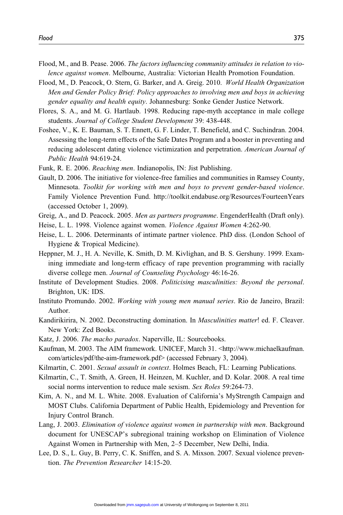- Flood, M., and B. Pease. 2006. The factors influencing community attitudes in relation to violence against women. Melbourne, Australia: Victorian Health Promotion Foundation.
- Flood, M., D. Peacock, O. Stern, G. Barker, and A. Greig. 2010. World Health Organization Men and Gender Policy Brief: Policy approaches to involving men and boys in achieving gender equality and health equity. Johannesburg: Sonke Gender Justice Network.
- Flores, S. A., and M. G. Hartlaub. 1998. Reducing rape-myth acceptance in male college students. Journal of College Student Development 39: 438-448.
- Foshee, V., K. E. Bauman, S. T. Ennett, G. F. Linder, T. Benefield, and C. Suchindran. 2004. Assessing the long-term effects of the Safe Dates Program and a booster in preventing and reducing adolescent dating violence victimization and perpetration. American Journal of Public Health 94:619-24.
- Funk, R. E. 2006. Reaching men. Indianopolis, IN: Jist Publishing.
- Gault, D. 2006. The initiative for violence-free families and communities in Ramsey County, Minnesota. Toolkit for working with men and boys to prevent gender-based violence. Family Violence Prevention Fund. http://toolkit.endabuse.org/Resources/FourteenYears (accessed October 1, 2009).
- Greig, A., and D. Peacock. 2005. Men as partners programme. EngenderHealth (Draft only).
- Heise, L. L. 1998. Violence against women. Violence Against Women 4:262-90.
- Heise, L. L. 2006. Determinants of intimate partner violence. PhD diss. (London School of Hygiene & Tropical Medicine).
- Heppner, M. J., H. A. Neville, K. Smith, D. M. Kivlighan, and B. S. Gershuny. 1999. Examining immediate and long-term efficacy of rape prevention programming with racially diverse college men. Journal of Counseling Psychology 46:16-26.
- Institute of Development Studies. 2008. Politicising masculinities: Beyond the personal. Brighton, UK: IDS.
- Instituto Promundo. 2002. Working with young men manual series. Rio de Janeiro, Brazil: Author.
- Kandirikirira, N. 2002. Deconstructing domination. In Masculinities matter! ed. F. Cleaver. New York: Zed Books.
- Katz, J. 2006. The macho paradox. Naperville, IL: Sourcebooks.
- Kaufman, M. 2003. The AIM framework. UNICEF, March 31. <http://www.michaelkaufman. com/articles/pdf/the-aim-framework.pdf> (accessed February 3, 2004).
- Kilmartin, C. 2001. Sexual assault in context. Holmes Beach, FL: Learning Publications.
- Kilmartin, C., T. Smith, A. Green, H. Heinzen, M. Kuchler, and D. Kolar. 2008. A real time social norms intervention to reduce male sexism. Sex Roles 59:264-73.
- Kim, A. N., and M. L. White. 2008. Evaluation of California's MyStrength Campaign and MOST Clubs. California Department of Public Health, Epidemiology and Prevention for Injury Control Branch.
- Lang, J. 2003. Elimination of violence against women in partnership with men. Background document for UNESCAP's subregional training workshop on Elimination of Violence Against Women in Partnership with Men, 2–5 December, New Delhi, India.
- Lee, D. S., L. Guy, B. Perry, C. K. Sniffen, and S. A. Mixson. 2007. Sexual violence prevention. The Prevention Researcher 14:15-20.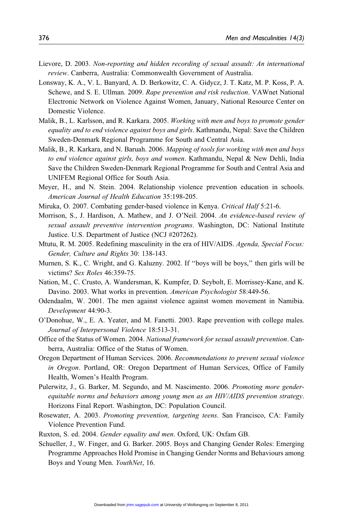- Lievore, D. 2003. Non-reporting and hidden recording of sexual assault: An international review. Canberra, Australia: Commonwealth Government of Australia.
- Lonsway, K. A., V. L. Banyard, A. D. Berkowitz, C. A. Gidycz, J. T. Katz, M. P. Koss, P. A. Schewe, and S. E. Ullman. 2009. Rape prevention and risk reduction. VAWnet National Electronic Network on Violence Against Women, January, National Resource Center on Domestic Violence.
- Malik, B., L. Karlsson, and R. Karkara. 2005. *Working with men and boys to promote gender* equality and to end violence against boys and girls. Kathmandu, Nepal: Save the Children Sweden-Denmark Regional Programme for South and Central Asia.
- Malik, B., R. Karkara, and N. Baruah. 2006. Mapping of tools for working with men and boys to end violence against girls, boys and women. Kathmandu, Nepal & New Dehli, India Save the Children Sweden-Denmark Regional Programme for South and Central Asia and UNIFEM Regional Office for South Asia.
- Meyer, H., and N. Stein. 2004. Relationship violence prevention education in schools. American Journal of Health Education 35:198-205.
- Miruka, O. 2007. Combating gender-based violence in Kenya. Critical Half 5:21-6.
- Morrison, S., J. Hardison, A. Mathew, and J. O'Neil. 2004. An evidence-based review of sexual assault preventive intervention programs. Washington, DC: National Institute Justice. U.S. Department of Justice (NCJ #207262).
- Mtutu, R. M. 2005. Redefining masculinity in the era of HIV/AIDS. Agenda, Special Focus: Gender, Culture and Rights 30: 138-143.
- Murnen, S. K., C. Wright, and G. Kaluzny. 2002. If ''boys will be boys,'' then girls will be victims? Sex Roles 46:359-75.
- Nation, M., C. Crusto, A. Wandersman, K. Kumpfer, D. Seybolt, E. Morrissey-Kane, and K. Davino. 2003. What works in prevention. American Psychologist 58:449-56.
- Odendaalm, W. 2001. The men against violence against women movement in Namibia. Development 44:90-3.
- O'Donohue, W., E. A. Yeater, and M. Fanetti. 2003. Rape prevention with college males. Journal of Interpersonal Violence 18:513-31.
- Office of the Status of Women. 2004. National framework for sexual assault prevention. Canberra, Australia: Office of the Status of Women.
- Oregon Department of Human Services. 2006. Recommendations to prevent sexual violence in Oregon. Portland, OR: Oregon Department of Human Services, Office of Family Health, Women's Health Program.
- Pulerwitz, J., G. Barker, M. Segundo, and M. Nascimento. 2006. Promoting more genderequitable norms and behaviors among young men as an HIV/AIDS prevention strategy. Horizons Final Report. Washington, DC: Population Council.
- Rosewater, A. 2003. Promoting prevention, targeting teens. San Francisco, CA: Family Violence Prevention Fund.
- Ruxton, S. ed. 2004. Gender equality and men. Oxford, UK: Oxfam GB.
- Schueller, J., W. Finger, and G. Barker. 2005. Boys and Changing Gender Roles: Emerging Programme Approaches Hold Promise in Changing Gender Norms and Behaviours among Boys and Young Men. YouthNet, 16.